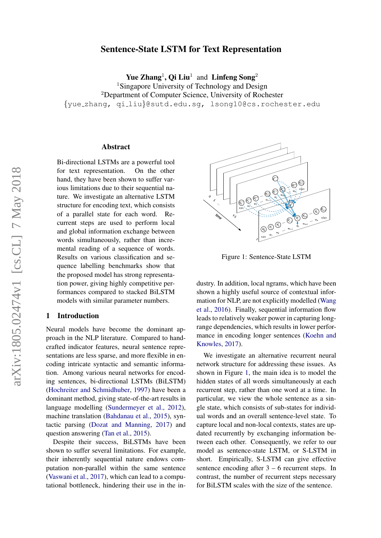# Sentence-State LSTM for Text Representation

Yue Zhang<sup>1</sup>, Qi Liu<sup>1</sup> and Linfeng Song<sup>2</sup>

<sup>1</sup>Singapore University of Technology and Design <sup>2</sup>Department of Computer Science, University of Rochester {yue zhang, qi liu}@sutd.edu.sg, lsong10@cs.rochester.edu

### Abstract

Bi-directional LSTMs are a powerful tool for text representation. On the other hand, they have been shown to suffer various limitations due to their sequential nature. We investigate an alternative LSTM structure for encoding text, which consists of a parallel state for each word. Recurrent steps are used to perform local and global information exchange between words simultaneously, rather than incremental reading of a sequence of words. Results on various classification and sequence labelling benchmarks show that the proposed model has strong representation power, giving highly competitive performances compared to stacked BiLSTM models with similar parameter numbers.

# 1 Introduction

Neural models have become the dominant approach in the NLP literature. Compared to handcrafted indicator features, neural sentence representations are less sparse, and more flexible in encoding intricate syntactic and semantic information. Among various neural networks for encoding sentences, bi-directional LSTMs (BiLSTM) [\(Hochreiter and Schmidhuber,](#page-9-0) [1997\)](#page-9-0) have been a dominant method, giving state-of-the-art results in language modelling [\(Sundermeyer et al.,](#page-10-0) [2012\)](#page-10-0), machine translation [\(Bahdanau et al.,](#page-9-1) [2015\)](#page-9-1), syntactic parsing [\(Dozat and Manning,](#page-9-2) [2017\)](#page-9-2) and question answering [\(Tan et al.,](#page-10-1) [2015\)](#page-10-1).

Despite their success, BiLSTMs have been shown to suffer several limitations. For example, their inherently sequential nature endows computation non-parallel within the same sentence [\(Vaswani et al.,](#page-10-2) [2017\)](#page-10-2), which can lead to a computational bottleneck, hindering their use in the in-



<span id="page-0-0"></span>Figure 1: Sentence-State LSTM

dustry. In addition, local ngrams, which have been shown a highly useful source of contextual information for NLP, are not explicitly modelled [\(Wang](#page-10-3) [et al.,](#page-10-3) [2016\)](#page-10-3). Finally, sequential information flow leads to relatively weaker power in capturing longrange dependencies, which results in lower performance in encoding longer sentences [\(Koehn and](#page-9-3) [Knowles,](#page-9-3) [2017\)](#page-9-3).

We investigate an alternative recurrent neural network structure for addressing these issues. As shown in Figure [1,](#page-0-0) the main idea is to model the hidden states of all words simultaneously at each recurrent step, rather than one word at a time. In particular, we view the whole sentence as a single state, which consists of sub-states for individual words and an overall sentence-level state. To capture local and non-local contexts, states are updated recurrently by exchanging information between each other. Consequently, we refer to our model as sentence-state LSTM, or S-LSTM in short. Empirically, S-LSTM can give effective sentence encoding after  $3 - 6$  recurrent steps. In contrast, the number of recurrent steps necessary for BiLSTM scales with the size of the sentence.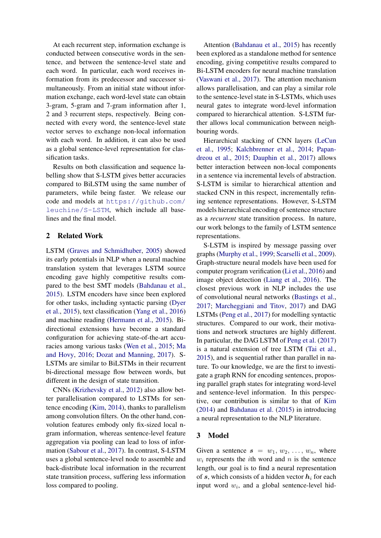At each recurrent step, information exchange is conducted between consecutive words in the sentence, and between the sentence-level state and each word. In particular, each word receives information from its predecessor and successor simultaneously. From an initial state without information exchange, each word-level state can obtain 3-gram, 5-gram and 7-gram information after 1, 2 and 3 recurrent steps, respectively. Being connected with every word, the sentence-level state vector serves to exchange non-local information with each word. In addition, it can also be used as a global sentence-level representation for classification tasks.

Results on both classification and sequence labelling show that S-LSTM gives better accuracies compared to BiLSTM using the same number of parameters, while being faster. We release our code and models at [https://github.com/](https://github.com/leuchine/S-LSTM) [leuchine/S-LSTM](https://github.com/leuchine/S-LSTM), which include all baselines and the final model.

# 2 Related Work

LSTM [\(Graves and Schmidhuber,](#page-9-4) [2005\)](#page-9-4) showed its early potentials in NLP when a neural machine translation system that leverages LSTM source encoding gave highly competitive results compared to the best SMT models [\(Bahdanau et al.,](#page-9-1) [2015\)](#page-9-1). LSTM encoders have since been explored for other tasks, including syntactic parsing [\(Dyer](#page-9-5) [et al.,](#page-9-5) [2015\)](#page-9-5), text classification [\(Yang et al.,](#page-10-4) [2016\)](#page-10-4) and machine reading [\(Hermann et al.,](#page-9-6) [2015\)](#page-9-6). Bidirectional extensions have become a standard configuration for achieving state-of-the-art accuracies among various tasks [\(Wen et al.,](#page-10-5) [2015;](#page-10-5) [Ma](#page-9-7) [and Hovy,](#page-9-7) [2016;](#page-9-7) [Dozat and Manning,](#page-9-2) [2017\)](#page-9-2). S-LSTMs are similar to BiLSTMs in their recurrent bi-directional message flow between words, but different in the design of state transition.

CNNs [\(Krizhevsky et al.,](#page-9-8) [2012\)](#page-9-8) also allow better parallelisation compared to LSTMs for sentence encoding [\(Kim,](#page-9-9) [2014\)](#page-9-9), thanks to parallelism among convolution filters. On the other hand, convolution features embody only fix-sized local ngram information, whereas sentence-level feature aggregation via pooling can lead to loss of information [\(Sabour et al.,](#page-10-6) [2017\)](#page-10-6). In contrast, S-LSTM uses a global sentence-level node to assemble and back-distribute local information in the recurrent state transition process, suffering less information loss compared to pooling.

Attention [\(Bahdanau et al.,](#page-9-1) [2015\)](#page-9-1) has recently been explored as a standalone method for sentence encoding, giving competitive results compared to Bi-LSTM encoders for neural machine translation [\(Vaswani et al.,](#page-10-2) [2017\)](#page-10-2). The attention mechanism allows parallelisation, and can play a similar role to the sentence-level state in S-LSTMs, which uses neural gates to integrate word-level information compared to hierarchical attention. S-LSTM further allows local communication between neighbouring words.

Hierarchical stacking of CNN layers [\(LeCun](#page-9-10) [et al.,](#page-9-10) [1995;](#page-9-10) [Kalchbrenner et al.,](#page-9-11) [2014;](#page-9-11) [Papan](#page-9-12)[dreou et al.,](#page-9-12) [2015;](#page-9-12) [Dauphin et al.,](#page-9-13) [2017\)](#page-9-13) allows better interaction between non-local components in a sentence via incremental levels of abstraction. S-LSTM is similar to hierarchical attention and stacked CNN in this respect, incrementally refining sentence representations. However, S-LSTM models hierarchical encoding of sentence structure as a *recurrent* state transition process. In nature, our work belongs to the family of LSTM sentence representations.

S-LSTM is inspired by message passing over graphs [\(Murphy et al.,](#page-9-14) [1999;](#page-9-14) [Scarselli et al.,](#page-10-7) [2009\)](#page-10-7). Graph-structure neural models have been used for computer program verification [\(Li et al.,](#page-9-15) [2016\)](#page-9-15) and image object detection [\(Liang et al.,](#page-9-16) [2016\)](#page-9-16). The closest previous work in NLP includes the use of convolutional neural networks [\(Bastings et al.,](#page-9-17) [2017;](#page-9-17) [Marcheggiani and Titov,](#page-9-18) [2017\)](#page-9-18) and DAG LSTMs [\(Peng et al.,](#page-10-8) [2017\)](#page-10-8) for modelling syntactic structures. Compared to our work, their motivations and network structures are highly different. In particular, the DAG LSTM of [Peng et al.](#page-10-8) [\(2017\)](#page-10-8) is a natural extension of tree LSTM [\(Tai et al.,](#page-10-9) [2015\)](#page-10-9), and is sequential rather than parallel in nature. To our knowledge, we are the first to investigate a graph RNN for encoding sentences, proposing parallel graph states for integrating word-level and sentence-level information. In this perspective, our contribution is similar to that of [Kim](#page-9-9) [\(2014\)](#page-9-9) and [Bahdanau et al.](#page-9-1) [\(2015\)](#page-9-1) in introducing a neural representation to the NLP literature.

# 3 Model

Given a sentence  $s = w_1, w_2, \ldots, w_n$ , where  $w_i$  represents the *i*th word and *n* is the sentence length, our goal is to find a neural representation of s, which consists of a hidden vector  $h_i$  for each input word  $w_i$ , and a global sentence-level hid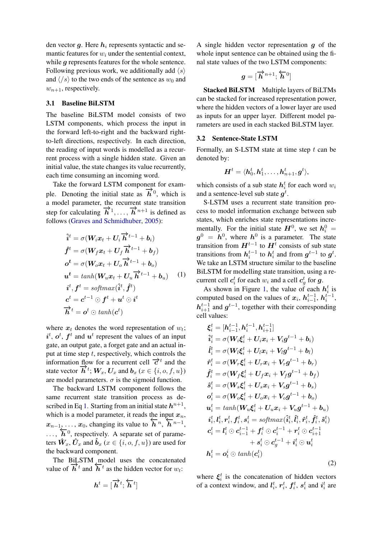den vector  $g$ . Here  $h_i$  represents syntactic and semantic features for  $w_i$  under the sentential context, while q represents features for the whole sentence. Following previous work, we additionally add  $\langle s \rangle$ and  $\langle \cdot | s \rangle$  to the two ends of the sentence as  $w_0$  and  $w_{n+1}$ , respectively.

### 3.1 Baseline BiLSTM

The baseline BiLSTM model consists of two LSTM components, which process the input in the forward left-to-right and the backward rightto-left directions, respectively. In each direction, the reading of input words is modelled as a recurrent process with a single hidden state. Given an initial value, the state changes its value recurrently, each time consuming an incoming word.

Take the forward LSTM component for example. Denoting the initial state as  $\overrightarrow{h}^0$ , which is a model parameter, the recurrent state transition step for calculating  $\vec{h}^1, \ldots, \vec{h}^{n+1}$  is defined as follows [\(Graves and Schmidhuber,](#page-9-4) [2005\)](#page-9-4):

$$
\begin{aligned}\n\hat{i}^t &= \sigma(W_i x_t + U_i \overrightarrow{h}^{t-1} + b_i) \\
\hat{f}^t &= \sigma(W_f x_t + U_f \overrightarrow{h}^{t-1} + b_f) \\
\sigma^t &= \sigma(W_o x_t + U_o \overrightarrow{h}^{t-1} + b_o) \\
u^t &= tanh(W_u x_t + U_u \overrightarrow{h}^{t-1} + b_u) \\
i^t, f^t &= softmax(\hat{i}^t, \hat{f}^t) \\
c^t &= c^{t-1} \odot f^t + u^t \odot i^t \\
\overrightarrow{h}^t &= \sigma^t \odot tanh(c^t)\n\end{aligned}
$$
\n(1)

where  $x_t$  denotes the word representation of  $w_t$ ;  $i^t$ ,  $o^t$ ,  $f^t$  and  $u^t$  represent the values of an input gate, an output gate, a forget gate and an actual input at time step  $t$ , respectively, which controls the information flow for a recurrent cell  $\vec{\tau}^t$  and the state vector  $\overrightarrow{h}^t$ ;  $W_x$ ,  $U_x$  and  $b_x$  ( $x \in \{i, o, f, u\}$ ) are model parameters.  $\sigma$  is the sigmoid function.

The backward LSTM component follows the same recurrent state transition process as de-scribed in Eq [1.](#page-2-0) Starting from an initial state  $h^{n+1}$ , which is a model parameter, it reads the input  $x_n$ , which is a model parameter, it reads the input  $x_n$ ,<br>  $x_{n-1}$ , ...,  $x_0$ , changing its value to  $\overleftarrow{h}^n$ ,  $\overleftarrow{h}^{n-1}$ ,  $\overline{h}^{0}$ , respectively. A separate set of parameters  $\hat{W}_x$ ,  $\hat{U}_x$  and  $\hat{b}_x$  ( $x \in \{i, o, f, u\}$ ) are used for the backward component.

The BiLSTM model uses the concatenated value of  $\overrightarrow{h}^t$  and  $\overleftarrow{h}^t$  as the hidden vector for  $w_t$ :

$$
\boldsymbol{h}^t = [\overrightarrow{\boldsymbol{h}}^t; \overleftarrow{\boldsymbol{h}}^t]
$$

A single hidden vector representation  $q$  of the whole input sentence can be obtained using the final state values of the two LSTM components:

$$
\boldsymbol{g} = [\overrightarrow{\boldsymbol{h}}^{n+1}; \overleftarrow{\boldsymbol{h}}^0]
$$

Stacked BiLSTM Multiple layers of BiLTMs can be stacked for increased representation power, where the hidden vectors of a lower layer are used as inputs for an upper layer. Different model parameters are used in each stacked BiLSTM layer.

# <span id="page-2-2"></span>3.2 Sentence-State LSTM

Formally, an S-LSTM state at time step  $t$  can be denoted by:

$$
\bm{H}^t = \langle \bm{h}_0^t, \bm{h}_1^t, \dots, \bm{h}_{n+1}^t, \bm{g}^t \rangle,
$$

which consists of a sub state  $h_i^t$  for each word  $w_i$ and a sentence-level sub state  $g^t$ .

<span id="page-2-0"></span>S-LSTM uses a recurrent state transition process to model information exchange between sub states, which enriches state representations incrementally. For the initial state  $H^0$ , we set  $h_i^0 =$  $g^0 = h^0$ , where  $h^0$  is a parameter. The state transition from  $H^{t-1}$  to  $H^t$  consists of sub state transitions from  $h_i^{t-1}$  to  $h_i^t$  and from  $g^{t-1}$  to  $g^t$ . We take an LSTM structure similar to the baseline BiLSTM for modelling state transition, using a recurrent cell  $c_i^t$  for each  $w_i$  and a cell  $c_g^t$  for  $g$ .

As shown in Figure [1,](#page-0-0) the value of each  $h_i^t$  is computed based on the values of  $x_i$ ,  $h_{i-1}^{t-1}$ ,  $h_i^{t-1}$ ,  $h_{i+1}^{t-1}$  and  $g^{t-1}$ , together with their corresponding cell values:

<span id="page-2-1"></span>
$$
\xi_{i}^{t} = [h_{i-1}^{t-1}, h_{i}^{t-1}, h_{i+1}^{t-1}] \n\hat{i}_{i}^{t} = \sigma(W_{i}\xi_{i}^{t} + U_{i}x_{i} + V_{i}g^{t-1} + b_{i}) \n\hat{i}_{i}^{t} = \sigma(W_{i}\xi_{i}^{t} + U_{i}x_{i} + V_{i}g^{t-1} + b_{i}) \n\hat{r}_{i}^{t} = \sigma(W_{r}\xi_{i}^{t} + U_{r}x_{i} + V_{r}g^{t-1} + b_{r}) \n\hat{f}_{i}^{t} = \sigma(W_{f}\xi_{i}^{t} + U_{f}x_{i} + V_{f}g^{t-1} + b_{f}) \n\hat{s}_{i}^{t} = \sigma(W_{s}\xi_{i}^{t} + U_{s}x_{i} + V_{s}g^{t-1} + b_{s}) \n\sigma_{i}^{t} = \sigma(W_{o}\xi_{i}^{t} + U_{o}x_{i} + V_{o}g^{t-1} + b_{o}) \n\mathbf{u}_{i}^{t} = tanh(W_{u}\xi_{i}^{t} + U_{u}x_{i} + V_{u}g^{t-1} + b_{u}) \n\hat{i}_{i}^{t}, \mathbf{l}_{i}^{t}, \mathbf{r}_{i}^{t}, \mathbf{f}_{i}^{t}, \mathbf{s}_{i}^{t} = softmax(\hat{i}_{i}^{t}, \hat{i}_{i}^{t}, \hat{r}_{i}^{t}, \hat{f}_{i}^{t}, \hat{s}_{i}^{t}) \n\mathbf{c}_{i}^{t} = \mathbf{l}_{i}^{t} \odot \mathbf{c}_{i-1}^{t-1} + \mathbf{f}_{i}^{t} \odot \mathbf{c}_{i}^{t-1} + \mathbf{r}_{i}^{t} \odot \mathbf{c}_{i+1}^{t-1} \n+ \mathbf{s}_{i}^{t} \odot \mathbf{c}_{g}^{t-1} + \mathbf{i}_{i}^{t} \odot \mathbf{u}_{i}^{t}
$$
\n
$$
\mathbf{h}_{i}^{t} = \mathbf{o}_{i}^{t} \odot tanh(\mathbf{c}_{i}^{t})
$$
\n(2)

where  $\xi_i^t$  is the concatenation of hidden vectors of a context window, and  $\mathbf{l}_i^t$ ,  $\mathbf{r}_i^t$ ,  $\mathbf{f}_i^t$ ,  $\mathbf{s}_i^t$  and  $\mathbf{i}_i^t$  are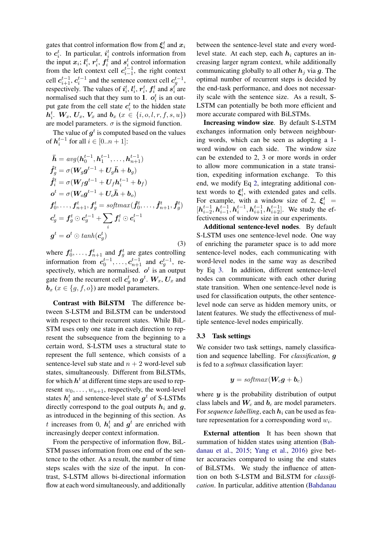gates that control information flow from  $\xi_i^t$  and  $x_i$ to  $c_i^t$ . In particular,  $i_i^t$  controls information from the input  $x_i$ ;  $l_i^t$ ,  $r_i^t$ ,  $f_i^t$  and  $s_i^t$  control information from the left context cell  $c_{i-1}^{t-1}$ , the right context cell  $c_{i+1}^{t-1}$ ,  $c_i^{t-1}$  and the sentence context cell  $c_g^{t-1}$ , respectively. The values of  $i_i^t$ ,  $l_i^t$ ,  $r_i^t$ ,  $f_i^t$  and  $s_i^t$  are normalised such that they sum to 1.  $o_i^t$  is an output gate from the cell state  $c_i^t$  to the hidden state  $h_i^t$ .  $W_x$ ,  $U_x$ ,  $V_x$  and  $b_x$  ( $x \in \{i, o, l, r, f, s, u\}$ ) are model parameters.  $\sigma$  is the sigmoid function.

The value of  $g^t$  is computed based on the values of  $h_i^{t-1}$  for all  $i \in [0..n+1]$ :

$$
\bar{\mathbf{h}} = avg(\mathbf{h}_{0}^{t-1}, \mathbf{h}_{1}^{t-1}, \dots, \mathbf{h}_{n+1}^{t-1})
$$
\n
$$
\hat{\mathbf{f}}_{g}^{t} = \sigma(\mathbf{W}_{g}\mathbf{g}^{t-1} + \mathbf{U}_{g}\bar{\mathbf{h}} + \mathbf{b}_{g})
$$
\n
$$
\hat{\mathbf{f}}_{i}^{t} = \sigma(\mathbf{W}_{f}\mathbf{g}^{t-1} + \mathbf{U}_{f}\mathbf{h}_{i}^{t-1} + \mathbf{b}_{f})
$$
\n
$$
\mathbf{o}^{t} = \sigma(\mathbf{W}_{o}\mathbf{g}^{t-1} + \mathbf{U}_{o}\bar{\mathbf{h}} + \mathbf{b}_{o})
$$
\n
$$
\mathbf{f}_{0}^{t}, \dots, \mathbf{f}_{n+1}^{t}, \mathbf{f}_{g}^{t} = softmax(\hat{\mathbf{f}}_{0}^{t}, \dots, \hat{\mathbf{f}}_{n+1}^{t}, \hat{\mathbf{f}}_{g}^{t})
$$
\n
$$
\mathbf{c}_{g}^{t} = \mathbf{f}_{g}^{t} \odot \mathbf{c}_{g}^{t-1} + \sum_{i} \mathbf{f}_{i}^{t} \odot \mathbf{c}_{i}^{t-1}
$$
\n
$$
\mathbf{g}^{t} = \mathbf{o}^{t} \odot tanh(\mathbf{c}_{g}^{t})
$$
\n(3)

where  $f_0^t, \ldots, f_{n+1}^t$  and  $f_g^t$  are gates controlling information from  $c_0^{t-1}, \ldots, c_{n+1}^{t-1}$  and  $c_g^{t-1}$ , respectively, which are normalised.  $o<sup>t</sup>$  is an output gate from the recurrent cell  $c_g^t$  to  $g^t$ .  $W_x$ ,  $U_x$  and  $\mathbf{b}_x$  ( $x \in \{q, f, o\}$ ) are model parameters.

Contrast with BiLSTM The difference between S-LSTM and BiLSTM can be understood with respect to their recurrent states. While BiL-STM uses only one state in each direction to represent the subsequence from the beginning to a certain word, S-LSTM uses a structural state to represent the full sentence, which consists of a sentence-level sub state and  $n + 2$  word-level sub states, simultaneously. Different from BiLSTMs, for which  $\bm{h}^t$  at different time steps are used to represent  $w_0, \ldots, w_{n+1}$ , respectively, the word-level states  $h_i^t$  and sentence-level state  $g^t$  of S-LSTMs directly correspond to the goal outputs  $h_i$  and  $g$ , as introduced in the beginning of this section. As t increases from 0,  $h_i^t$  and  $g^t$  are enriched with increasingly deeper context information.

From the perspective of information flow, BiL-STM passes information from one end of the sentence to the other. As a result, the number of time steps scales with the size of the input. In contrast, S-LSTM allows bi-directional information flow at each word simultaneously, and additionally between the sentence-level state and every wordlevel state. At each step, each  $h_i$  captures an increasing larger ngram context, while additionally communicating globally to all other  $h_j$  via g. The optimal number of recurrent steps is decided by the end-task performance, and does not necessarily scale with the sentence size. As a result, S-LSTM can potentially be both more efficient and more accurate compared with BiLSTMs.

<span id="page-3-0"></span>Increasing window size. By default S-LSTM exchanges information only between neighbouring words, which can be seen as adopting a 1 word window on each side. The window size can be extended to 2, 3 or more words in order to allow more communication in a state transition, expediting information exchange. To this end, we modify Eq [2,](#page-2-1) integrating additional context words to  $\xi_i^t$ , with extended gates and cells. For example, with a window size of 2,  $\xi_i^t$  =  $[h_{i-2}^{t-1}, h_{i-1}^{t-1}, h_{i+1}^{t-1}, h_{i+2}^{t-1}]$ . We study the effectiveness of window size in our experiments.

Additional sentence-level nodes. By default S-LSTM uses one sentence-level node. One way of enriching the parameter space is to add more sentence-level nodes, each communicating with word-level nodes in the same way as described by Eq [3.](#page-3-0) In addition, different sentence-level nodes can communicate with each other during state transition. When one sentence-level node is used for classification outputs, the other sentencelevel node can serve as hidden memory units, or latent features. We study the effectiveness of multiple sentence-level nodes empirically.

### <span id="page-3-1"></span>3.3 Task settings

We consider two task settings, namely classification and sequence labelling. For *classification*, g is fed to a *softmax* classification layer:

$$
\boldsymbol{y} = \textit{softmax}(\boldsymbol{W_c g} + \boldsymbol{b}_c)
$$

where  $y$  is the probability distribution of output class labels and  $W_c$  and  $b_c$  are model parameters. For *sequence labelling*, each  $h_i$  can be used as feature representation for a corresponding word  $w_i$ .

External attention It has been shown that summation of hidden states using attention [\(Bah](#page-9-1)[danau et al.,](#page-9-1) [2015;](#page-9-1) [Yang et al.,](#page-10-4) [2016\)](#page-10-4) give better accuracies compared to using the end states of BiLSTMs. We study the influence of attention on both S-LSTM and BiLSTM for *classification*. In particular, additive attention [\(Bahdanau](#page-9-1)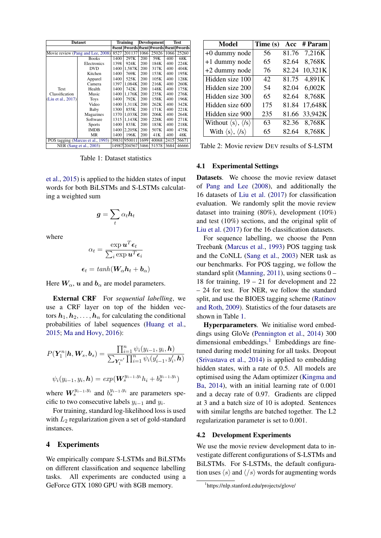| <b>Dataset</b>                    |               | <b>Training</b> |                                         | <b>Development</b> |       | Test |       |
|-----------------------------------|---------------|-----------------|-----------------------------------------|--------------------|-------|------|-------|
|                                   |               |                 | #sent  #words #sent #words #sent #words |                    |       |      |       |
| Movie review (Pang and Lee, 2008) |               | 8527            | 201137                                  | 1066               | 25026 | 1066 | 25260 |
|                                   | <b>Books</b>  | 1400            | 297K                                    | 200                | 59K   | 400  | 68K   |
|                                   | Electronics   | 1398            | 924K                                    | 200                | 184K  | 400  | 224K  |
|                                   | <b>DVD</b>    | 1400            | 1,587K                                  | 200                | 317K  | 400  | 404K  |
|                                   | Kitchen       | 1400            | 769K                                    | 200                | 153K  | 400  | 195K  |
|                                   | Apparel       | 1400            | 525K                                    | 200                | 105K  | 400  | 128K  |
|                                   | Camera        | 1397            | 1.084K                                  | 200                | 216K  | 400  | 260K  |
| Text                              | Health        | 1400            | 742K                                    | 200                | 148K  | 400  | 175K  |
| Classification                    | Music         | 1400            | 1.176K                                  | 200                | 235K  | 400  | 276K  |
| (Liu et al., 2017)                | <b>Toys</b>   | 1400            | 792K                                    | 200                | 158K  | 400  | 196K  |
|                                   | Video         | 1400            | 1.311K                                  | 200                | 262K  | 400  | 342K  |
|                                   | Baby          | 1300            | 855K                                    | 200                | 171K  | 400  | 221K  |
|                                   | Magazines     | 1370            | 1.033K                                  | 200                | 206K  | 400  | 264K  |
|                                   | Software      | 1315            | 1,143K                                  | 200                | 228K  | 400  | 271K  |
|                                   | <b>Sports</b> | 1400            | 833K                                    | 200                | 183K  | 400  | 218K  |
|                                   | <b>IMDB</b>   | 1400            | 2,205K                                  | 200                | 507K  | 400  | 475K  |
|                                   | MR            | 1400            | 196K                                    | 200                | 41K   | 400  | 48K   |
| POS tagging (Marcus et al., 1993) |               |                 | 39831 950011                            | 1699               | 40068 | 2415 | 56671 |
| NER (Sang et al., 2003)           |               |                 | 14987 2045 67                           | 3466               | 51578 | 3684 | 46666 |

<span id="page-4-0"></span>Table 1: Dataset statistics

[et al.,](#page-9-1) [2015\)](#page-9-1) is applied to the hidden states of input words for both BiLSTMs and S-LSTMs calculating a weighted sum

$$
\boldsymbol{g}=\sum_t \alpha_t \boldsymbol{h}_t
$$

where

$$
\alpha_t = \frac{\exp \boldsymbol{u}^T \boldsymbol{\epsilon}_t}{\sum_i \exp \boldsymbol{u}^T \boldsymbol{\epsilon}_i}
$$

$$
\boldsymbol{\epsilon}_t = tanh(\boldsymbol{W}_{\alpha} \boldsymbol{h}_t + \boldsymbol{b}_{\alpha})
$$

Here  $W_{\alpha}$ ,  $u$  and  $b_{\alpha}$  are model parameters.

External CRF For *sequential labelling*, we use a CRF layer on top of the hidden vectors  $h_1, h_2, \ldots, h_n$  for calculating the conditional probabilities of label sequences [\(Huang et al.,](#page-9-22) [2015;](#page-9-22) [Ma and Hovy,](#page-9-7) [2016\)](#page-9-7):

$$
P(Y_1^n | h, W_s, b_s) = \frac{\prod_{i=1}^n \psi_i(y_{i-1}, y_i, h)}{\sum_{Y_1^{n'}} \prod_{i=1}^n \psi_i(y'_{i-1}, y'_i, h)}
$$

$$
\psi_i(y_{i-1}, y_i, h) = exp(W_s^{y_{i-1}, y_i} h_i + b_s^{y_{i-1}, y_i})
$$

where  $W_s^{y_{i-1},y_i}$  and  $b_s^{y_{i-1},y_i}$  are parameters specific to two consecutive labels  $y_{i-1}$  and  $y_i$ .

For training, standard log-likelihood loss is used with  $L_2$  regularization given a set of gold-standard instances.

### 4 Experiments

We empirically compare S-LSTMs and BiLSTMs on different classification and sequence labelling tasks. All experiments are conducted using a GeForce GTX 1080 GPU with 8GB memory.

| Model                                             | Time (s)        |       | Acc # Param   |
|---------------------------------------------------|-----------------|-------|---------------|
| +0 dummy node                                     | 56              |       | 81.76 7,216K  |
| +1 dummy node                                     | 65              | 82.64 | 8,768K        |
| +2 dummy node                                     | 76              | 82.24 | 10,321K       |
| Hidden size 100                                   | 42 <sub>1</sub> | 81.75 | 4,891K        |
| Hidden size 200                                   | 54              | 82.04 | 6,002K        |
| Hidden size 300                                   | 65              | 82.64 | 8,768K        |
| Hidden size 600                                   | 175             | 81.84 | 17,648K       |
| Hidden size 900                                   | 235             |       | 81.66 33,942K |
| Without $\langle s \rangle$ , $\langle s \rangle$ | 63              |       | 82.36 8,768K  |
| With $\langle s \rangle$ , $\langle s \rangle$    | 65              |       | 82.64 8,768K  |

<span id="page-4-2"></span>Table 2: Movie review DEV results of S-LSTM

# 4.1 Experimental Settings

Datasets. We choose the movie review dataset of [Pang and Lee](#page-9-19) [\(2008\)](#page-9-19), and additionally the 16 datasets of [Liu et al.](#page-9-20) [\(2017\)](#page-9-20) for classification evaluation. We randomly split the movie review dataset into training (80%), development (10%) and test (10%) sections, and the original split of [Liu et al.](#page-9-20) [\(2017\)](#page-9-20) for the 16 classification datasets.

For sequence labelling, we choose the Penn Treebank [\(Marcus et al.,](#page-9-21) [1993\)](#page-9-21) POS tagging task and the CoNLL [\(Sang et al.,](#page-10-10) [2003\)](#page-10-10) NER task as our benchmarks. For POS tagging, we follow the standard split [\(Manning,](#page-9-23) [2011\)](#page-9-23), using sections 0 – 18 for training, 19 – 21 for development and 22 – 24 for test. For NER, we follow the standard split, and use the BIOES tagging scheme [\(Ratinov](#page-10-11) [and Roth,](#page-10-11) [2009\)](#page-10-11). Statistics of the four datasets are shown in Table [1.](#page-4-0)

Hyperparameters. We initialise word embeddings using GloVe [\(Pennington et al.,](#page-10-12) [2014\)](#page-10-12) 300 dimensional embeddings.<sup>[1](#page-4-1)</sup> Embeddings are finetuned during model training for all tasks. Dropout [\(Srivastava et al.,](#page-10-13) [2014\)](#page-10-13) is applied to embedding hidden states, with a rate of 0.5. All models are optimised using the Adam optimizer [\(Kingma and](#page-9-24) [Ba,](#page-9-24) [2014\)](#page-9-24), with an initial learning rate of 0.001 and a decay rate of 0.97. Gradients are clipped at 3 and a batch size of 10 is adopted. Sentences with similar lengths are batched together. The L2 regularization parameter is set to 0.001.

#### 4.2 Development Experiments

We use the movie review development data to investigate different configurations of S-LSTMs and BiLSTMs. For S-LSTMs, the default configuration uses  $\langle s \rangle$  and  $\langle s \rangle$  words for augmenting words

<span id="page-4-1"></span><sup>1</sup> https://nlp.stanford.edu/projects/glove/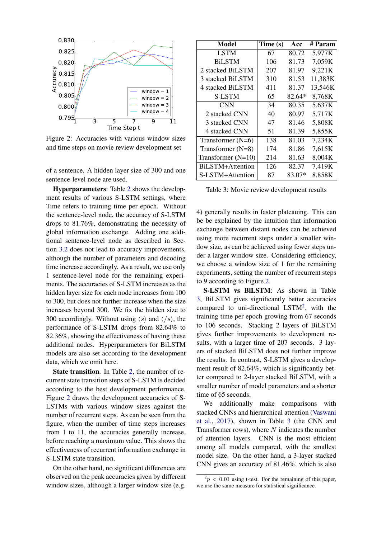

<span id="page-5-0"></span>Figure 2: Accuracies with various window sizes and time steps on movie review development set

of a sentence. A hidden layer size of 300 and one sentence-level node are used.

Hyperparameters: Table [2](#page-4-2) shows the development results of various S-LSTM settings, where Time refers to training time per epoch. Without the sentence-level node, the accuracy of S-LSTM drops to 81.76%, demonstrating the necessity of global information exchange. Adding one additional sentence-level node as described in Section [3.2](#page-2-2) does not lead to accuracy improvements, although the number of parameters and decoding time increase accordingly. As a result, we use only 1 sentence-level node for the remaining experiments. The accuracies of S-LSTM increases as the hidden layer size for each node increases from 100 to 300, but does not further increase when the size increases beyond 300. We fix the hidden size to 300 accordingly. Without using  $\langle s \rangle$  and  $\langle \langle s \rangle$ , the performance of S-LSTM drops from 82.64% to 82.36%, showing the effectiveness of having these additional nodes. Hyperparameters for BiLSTM models are also set according to the development data, which we omit here.

State transition. In Table [2,](#page-4-2) the number of recurrent state transition steps of S-LSTM is decided according to the best development performance. Figure [2](#page-5-0) draws the development accuracies of S-LSTMs with various window sizes against the number of recurrent steps. As can be seen from the figure, when the number of time steps increases from 1 to 11, the accuracies generally increase, before reaching a maximum value. This shows the effectiveness of recurrent information exchange in S-LSTM state transition.

On the other hand, no significant differences are observed on the peak accuracies given by different window sizes, although a larger window size (e.g.

| Model                | Time (s) | Acc    | # Param |
|----------------------|----------|--------|---------|
| <b>LSTM</b>          | 67       | 80.72  | 5,977K  |
| <b>BiLSTM</b>        | 106      | 81.73  | 7,059K  |
| 2 stacked BiLSTM     | 207      | 81.97  | 9,221K  |
| 3 stacked BiLSTM     | 310      | 81.53  | 11,383K |
| 4 stacked BiLSTM     | 411      | 81.37  | 13,546K |
| <b>S-LSTM</b>        | 65       | 82.64* | 8,768K  |
| CNN                  | 34       | 80.35  | 5,637K  |
| 2 stacked CNN        | 40       | 80.97  | 5,717K  |
| 3 stacked CNN        | 47       | 81.46  | 5,808K  |
| 4 stacked CNN        | 51       | 81.39  | 5,855K  |
| Transformer $(N=6)$  | 138      | 81.03  | 7,234K  |
| Transformer $(N=8)$  | 174      | 81.86  | 7,615K  |
| Transformer $(N=10)$ | 214      | 81.63  | 8,004K  |
| BiLSTM+Attention     | 126      | 82.37  | 7,419K  |
| S-LSTM+Attention     | 87       | 83.07* | 8,858K  |

<span id="page-5-1"></span>Table 3: Movie review development results

4) generally results in faster plateauing. This can be be explained by the intuition that information exchange between distant nodes can be achieved using more recurrent steps under a smaller window size, as can be achieved using fewer steps under a larger window size. Considering efficiency, we choose a window size of 1 for the remaining experiments, setting the number of recurrent steps to 9 according to Figure [2.](#page-5-0)

S-LSTM vs BiLSTM: As shown in Table [3,](#page-5-1) BiLSTM gives significantly better accuracies compared to uni-directional LSTM<sup>[2](#page-5-2)</sup>, with the training time per epoch growing from 67 seconds to 106 seconds. Stacking 2 layers of BiLSTM gives further improvements to development results, with a larger time of 207 seconds. 3 layers of stacked BiLSTM does not further improve the results. In contrast, S-LSTM gives a development result of 82.64%, which is significantly better compared to 2-layer stacked BiLSTM, with a smaller number of model parameters and a shorter time of 65 seconds.

We additionally make comparisons with stacked CNNs and hierarchical attention [\(Vaswani](#page-10-2) [et al.,](#page-10-2) [2017\)](#page-10-2), shown in Table [3](#page-5-1) (the CNN and Transformer rows), where  $N$  indicates the number of attention layers. CNN is the most efficient among all models compared, with the smallest model size. On the other hand, a 3-layer stacked CNN gives an accuracy of 81.46%, which is also

<span id="page-5-2"></span> $^{2}p < 0.01$  using t-test. For the remaining of this paper, we use the same measure for statistical significance.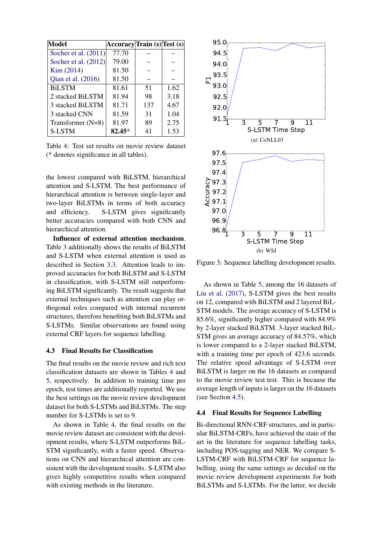| <b>Model</b>           | Accuracy Train (s) Test (s) |     |      |
|------------------------|-----------------------------|-----|------|
| Socher et al. $(2011)$ | 77.70                       |     |      |
| Socher et al. (2012)   | 79.00                       |     |      |
| Kim (2014)             | 81.50                       |     |      |
| Qian et al. (2016)     | 81.50                       |     |      |
| <b>BiLSTM</b>          | 81.61                       | 51  | 1.62 |
| 2 stacked BiLSTM       | 81.94                       | 98  | 3.18 |
| 3 stacked BiLSTM       | 81.71                       | 137 | 4.67 |
| 3 stacked CNN          | 81.59                       | 31  | 1.04 |
| Transformer $(N=8)$    | 81.97                       | 89  | 2.75 |
| S-LSTM                 | 82.45*                      | 41  | 1.53 |

<span id="page-6-0"></span>Table 4: Test set results on movie review dataset (\* denotes significance in all tables).

the lowest compared with BiLSTM, hierarchical attention and S-LSTM. The best performance of hierarchical attention is between single-layer and two-layer BiLSTMs in terms of both accuracy and efficiency. S-LSTM gives significantly better accuracies compared with both CNN and hierarchical attention.

Influence of external attention mechanism. Table [3](#page-5-1) additionally shows the results of BiLSTM and S-LSTM when external attention is used as described in Section [3.3.](#page-3-1) Attention leads to improved accuracies for both BiLSTM and S-LSTM in classification, with S-LSTM still outperforming BiLSTM significantly. The result suggests that external techniques such as attention can play orthogonal roles compared with internal recurrent structures, therefore benefiting both BiLSTMs and S-LSTMs. Similar observations are found using external CRF layers for sequence labelling.

### 4.3 Final Results for Classification

The final results on the movie review and rich text classification datasets are shown in Tables [4](#page-6-0) and [5,](#page-7-0) respectively. In addition to training time per epoch, test times are additionally reported. We use the best settings on the movie review development dataset for both S-LSTMs and BiLSTMs. The step number for S-LSTMs is set to 9.

As shown in Table [4,](#page-6-0) the final results on the movie review dataset are consistent with the development results, where S-LSTM outperforms BiL-STM significantly, with a faster speed. Observations on CNN and hierarchical attention are consistent with the development results. S-LSTM also gives highly competitive results when compared with existing methods in the literature.



<span id="page-6-1"></span>Figure 3: Sequence labelling development results.

As shown in Table [5,](#page-7-0) among the 16 datasets of [Liu et al.](#page-9-20) [\(2017\)](#page-9-20), S-LSTM gives the best results on 12, compared with BiLSTM and 2 layered BiL-STM models. The average accuracy of S-LSTM is 85.6%, significantly higher compared with 84.9% by 2-layer stacked BiLSTM. 3-layer stacked BiL-STM gives an average accuracy of 84.57%, which is lower compared to a 2-layer stacked BiLSTM, with a training time per epoch of 423.6 seconds. The relative speed advantage of S-LSTM over BiLSTM is larger on the 16 datasets as compared to the movie review test test. This is because the average length of inputs is larger on the 16 datasets (see Section [4.5\)](#page-8-0).

### 4.4 Final Results for Sequence Labelling

Bi-directional RNN-CRF structures, and in particular BiLSTM-CRFs, have achieved the state of the art in the literature for sequence labelling tasks, including POS-tagging and NER. We compare S-LSTM-CRF with BiLSTM-CRF for sequence labelling, using the same settings as decided on the movie review development experiments for both BiLSTMs and S-LSTMs. For the latter, we decide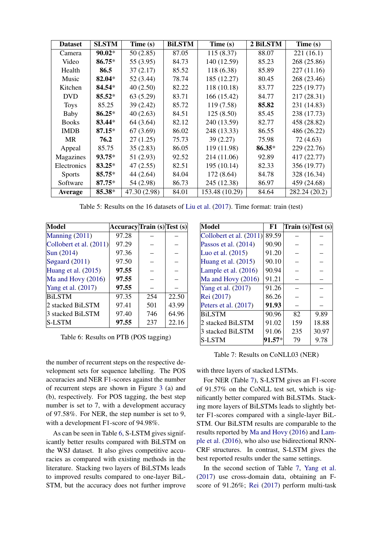| <b>Dataset</b> | <b>SLSTM</b> | Time (s)     | <b>BiLSTM</b> | Time (s)       | 2 BiLSTM | Time (s)      |
|----------------|--------------|--------------|---------------|----------------|----------|---------------|
| Camera         | $90.02*$     | 50(2.85)     | 87.05         | 115(8.37)      | 88.07    | 221(16.1)     |
| Video          | $86.75*$     | 55 (3.95)    | 84.73         | 140 (12.59)    | 85.23    | 268 (25.86)   |
| Health         | 86.5         | 37(2.17)     | 85.52         | 118 (6.38)     | 85.89    | 227(11.16)    |
| Music          | 82.04*       | 52 (3.44)    | 78.74         | 185 (12.27)    | 80.45    | 268 (23.46)   |
| Kitchen        | $84.54*$     | 40(2.50)     | 82.22         | 118 (10.18)    | 83.77    | 225 (19.77)   |
| <b>DVD</b>     | $85.52*$     | 63(5.29)     | 83.71         | 166 (15.42)    | 84.77    | 217 (28.31)   |
| <b>Toys</b>    | 85.25        | 39 (2.42)    | 85.72         | 119(7.58)      | 85.82    | 231 (14.83)   |
| Baby           | $86.25*$     | 40(2.63)     | 84.51         | 125(8.50)      | 85.45    | 238 (17.73)   |
| <b>Books</b>   | 83.44*       | 64 (3.64)    | 82.12         | 240 (13.59)    | 82.77    | 458 (28.82)   |
| <b>IMDB</b>    | $87.15*$     | 67(3.69)     | 86.02         | 248 (13.33)    | 86.55    | 486 (26.22)   |
| <b>MR</b>      | 76.2         | 27(1.25)     | 75.73         | 39(2.27)       | 75.98    | 72 (4.63)     |
| Appeal         | 85.75        | 35(2.83)     | 86.05         | 119 (11.98)    | $86.35*$ | 229 (22.76)   |
| Magazines      | $93.75*$     | 51 (2.93)    | 92.52         | 214 (11.06)    | 92.89    | 417 (22.77)   |
| Electronics    | $83.25*$     | 47(2.55)     | 82.51         | 195 (10.14)    | 82.33    | 356 (19.77)   |
| <b>Sports</b>  | $85.75*$     | 44 (2.64)    | 84.04         | 172 (8.64)     | 84.78    | 328 (16.34)   |
| Software       | $87.75*$     | 54 (2.98)    | 86.73         | 245 (12.38)    | 86.97    | 459 (24.68)   |
| <b>Average</b> | 85.38*       | 47.30 (2.98) | 84.01         | 153.48 (10.29) | 84.64    | 282.24 (20.2) |

<span id="page-7-0"></span>Table 5: Results on the 16 datasets of [Liu et al.](#page-9-20) [\(2017\)](#page-9-20). Time format: train (test)

| <b>Model</b>              | Accuracy Train (s) Test (s) |     |       |
|---------------------------|-----------------------------|-----|-------|
| Manning (2011)            | 97.28                       |     |       |
| Collobert et al. $(2011)$ | 97.29                       |     |       |
| Sun (2014)                | 97.36                       |     |       |
| Søgaard $(2011)$          | 97.50                       |     |       |
| Huang et al. $(2015)$     | 97.55                       |     |       |
| Ma and Hovy $(2016)$      | 97.55                       |     |       |
| Yang et al. (2017)        | 97.55                       |     |       |
| <b>BiLSTM</b>             | 97.35                       | 254 | 22.50 |
| 2 stacked BiLSTM          | 97.41                       | 501 | 43.99 |
| 3 stacked BiLSTM          | 97.40                       | 746 | 64.96 |
| <b>S-LSTM</b>             | 97.55                       | 237 | 22.16 |

<span id="page-7-1"></span>Table 6: Results on PTB (POS tagging)

the number of recurrent steps on the respective development sets for sequence labelling. The POS accuracies and NER F1-scores against the number of recurrent steps are shown in Figure [3](#page-6-1) (a) and (b), respectively. For POS tagging, the best step number is set to 7, with a development accuracy of 97.58%. For NER, the step number is set to 9, with a development F1-score of 94.98%.

As can be seen in Table [6,](#page-7-1) S-LSTM gives significantly better results compared with BiLSTM on the WSJ dataset. It also gives competitive accuracies as compared with existing methods in the literature. Stacking two layers of BiLSTMs leads to improved results compared to one-layer BiL-STM, but the accuracy does not further improve

| Model                   | F1     | Train $(s)$ Test $(s)$ |       |
|-------------------------|--------|------------------------|-------|
| Collobert et al. (2011) | 89.59  |                        |       |
| Passos et al. (2014)    | 90.90  |                        |       |
| Luo et al. (2015)       | 91.20  |                        |       |
| Huang et al. $(2015)$   | 90.10  |                        |       |
| Lample et al. $(2016)$  | 90.94  |                        |       |
| Ma and Hovy $(2016)$    | 91.21  |                        |       |
| Yang et al. (2017)      | 91.26  |                        |       |
| Rei (2017)              | 86.26  |                        |       |
| Peters et al. (2017)    | 91.93  |                        |       |
| <b>BiLSTM</b>           | 90.96  | 82                     | 9.89  |
| 2 stacked BiLSTM        | 91.02  | 159                    | 18.88 |
| 3 stacked BiLSTM        | 91.06  | 235                    | 30.97 |
| S-LSTM                  | 91.57* | 79                     | 9.78  |

<span id="page-7-2"></span>Table 7: Results on CoNLL03 (NER)

with three layers of stacked LSTMs.

For NER (Table [7\)](#page-7-2), S-LSTM gives an F1-score of 91.57% on the CoNLL test set, which is significantly better compared with BiLSTMs. Stacking more layers of BiLSTMs leads to slightly better F1-scores compared with a single-layer BiL-STM. Our BiLSTM results are comparable to the results reported by [Ma and Hovy](#page-9-7) [\(2016\)](#page-9-7) and [Lam](#page-9-27)[ple et al.](#page-9-27) [\(2016\)](#page-9-27), who also use bidirectional RNN-CRF structures. In contrast, S-LSTM gives the best reported results under the same settings.

In the second section of Table [7,](#page-7-2) [Yang et al.](#page-10-19) [\(2017\)](#page-10-19) use cross-domain data, obtaining an Fscore of 91.26%; [Rei](#page-10-21) [\(2017\)](#page-10-21) perform multi-task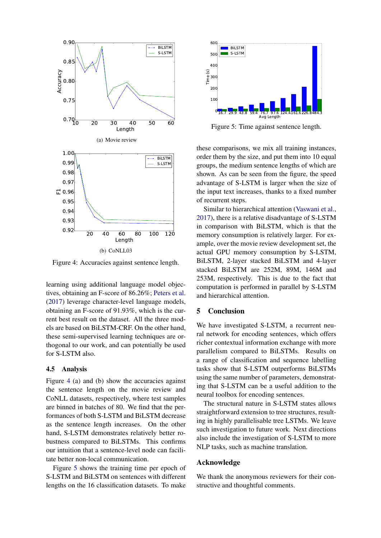

<span id="page-8-1"></span>Figure 4: Accuracies against sentence length.

learning using additional language model objectives, obtaining an F-score of 86.26%; [Peters et al.](#page-10-22) [\(2017\)](#page-10-22) leverage character-level language models, obtaining an F-score of 91.93%, which is the current best result on the dataset. All the three models are based on BiLSTM-CRF. On the other hand, these semi-supervised learning techniques are orthogonal to our work, and can potentially be used for S-LSTM also.

## <span id="page-8-0"></span>4.5 Analysis

Figure [4](#page-8-1) (a) and (b) show the accuracies against the sentence length on the movie review and CoNLL datasets, respectively, where test samples are binned in batches of 80. We find that the performances of both S-LSTM and BiLSTM decrease as the sentence length increases. On the other hand, S-LSTM demonstrates relatively better robustness compared to BiLSTMs. This confirms our intuition that a sentence-level node can facilitate better non-local communication.

Figure [5](#page-8-2) shows the training time per epoch of S-LSTM and BiLSTM on sentences with different



<span id="page-8-2"></span>Figure 5: Time against sentence length.

these comparisons, we mix all training instances, order them by the size, and put them into 10 equal groups, the medium sentence lengths of which are shown. As can be seen from the figure, the speed advantage of S-LSTM is larger when the size of the input text increases, thanks to a fixed number of recurrent steps.

Similar to hierarchical attention [\(Vaswani et al.,](#page-10-2) [2017\)](#page-10-2), there is a relative disadvantage of S-LSTM in comparison with BiLSTM, which is that the memory consumption is relatively larger. For example, over the movie review development set, the actual GPU memory consumption by S-LSTM, BiLSTM, 2-layer stacked BiLSTM and 4-layer stacked BiLSTM are 252M, 89M, 146M and 253M, respectively. This is due to the fact that computation is performed in parallel by S-LSTM and hierarchical attention.

# 5 Conclusion

We have investigated S-LSTM, a recurrent neural network for encoding sentences, which offers richer contextual information exchange with more parallelism compared to BiLSTMs. Results on a range of classification and sequence labelling tasks show that S-LSTM outperforms BiLSTMs using the same number of parameters, demonstrating that S-LSTM can be a useful addition to the neural toolbox for encoding sentences.

The structural nature in S-LSTM states allows straightforward extension to tree structures, resulting in highly parallelisable tree LSTMs. We leave such investigation to future work. Next directions also include the investigation of S-LSTM to more NLP tasks, such as machine translation.

### Acknowledge

We thank the anonymous reviewers for their constructive and thoughtful comments.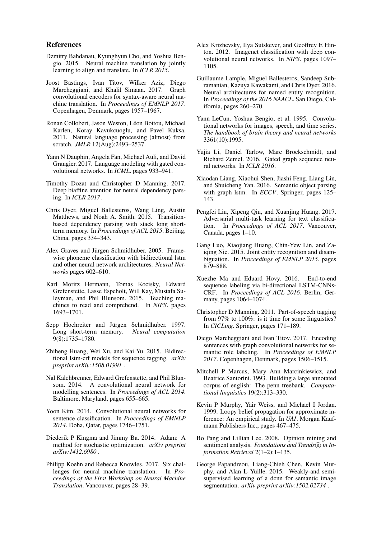### References

- <span id="page-9-1"></span>Dzmitry Bahdanau, Kyunghyun Cho, and Yoshua Bengio. 2015. Neural machine translation by jointly learning to align and translate. In *ICLR 2015*.
- <span id="page-9-17"></span>Joost Bastings, Ivan Titov, Wilker Aziz, Diego Marcheggiani, and Khalil Simaan. 2017. Graph convolutional encoders for syntax-aware neural machine translation. In *Proceedings of EMNLP 2017*. Copenhagen, Denmark, pages 1957–1967.
- <span id="page-9-25"></span>Ronan Collobert, Jason Weston, Léon Bottou, Michael Karlen, Koray Kavukcuoglu, and Pavel Kuksa. 2011. Natural language processing (almost) from scratch. *JMLR* 12(Aug):2493–2537.
- <span id="page-9-13"></span>Yann N Dauphin, Angela Fan, Michael Auli, and David Grangier. 2017. Language modeling with gated convolutional networks. In *ICML*. pages 933–941.
- <span id="page-9-2"></span>Timothy Dozat and Christopher D Manning. 2017. Deep biaffine attention for neural dependency parsing. In *ICLR 2017*.
- <span id="page-9-5"></span>Chris Dyer, Miguel Ballesteros, Wang Ling, Austin Matthews, and Noah A. Smith. 2015. Transitionbased dependency parsing with stack long shortterm memory. In *Proceedings of ACL 2015*. Beijing, China, pages 334–343.
- <span id="page-9-4"></span>Alex Graves and Jürgen Schmidhuber. 2005. Framewise phoneme classification with bidirectional lstm and other neural network architectures. *Neural Networks* pages 602–610.
- <span id="page-9-6"></span>Karl Moritz Hermann, Tomas Kocisky, Edward Grefenstette, Lasse Espeholt, Will Kay, Mustafa Suleyman, and Phil Blunsom. 2015. Teaching machines to read and comprehend. In *NIPS*. pages 1693–1701.
- <span id="page-9-0"></span>Sepp Hochreiter and Jürgen Schmidhuber. 1997. Long short-term memory. *Neural computation* 9(8):1735–1780.
- <span id="page-9-22"></span>Zhiheng Huang, Wei Xu, and Kai Yu. 2015. Bidirectional lstm-crf models for sequence tagging. *arXiv preprint arXiv:1508.01991* .
- <span id="page-9-11"></span>Nal Kalchbrenner, Edward Grefenstette, and Phil Blunsom. 2014. A convolutional neural network for modelling sentences. In *Proceedings of ACL 2014*. Baltimore, Maryland, pages 655–665.
- <span id="page-9-9"></span>Yoon Kim. 2014. Convolutional neural networks for sentence classification. In *Proceedings of EMNLP 2014*. Doha, Qatar, pages 1746–1751.
- <span id="page-9-24"></span>Diederik P Kingma and Jimmy Ba. 2014. Adam: A method for stochastic optimization. *arXiv preprint arXiv:1412.6980* .
- <span id="page-9-3"></span>Philipp Koehn and Rebecca Knowles. 2017. Six challenges for neural machine translation. In *Proceedings of the First Workshop on Neural Machine Translation*. Vancouver, pages 28–39.
- <span id="page-9-8"></span>Alex Krizhevsky, Ilya Sutskever, and Geoffrey E Hinton. 2012. Imagenet classification with deep convolutional neural networks. In *NIPS*. pages 1097– 1105.
- <span id="page-9-27"></span>Guillaume Lample, Miguel Ballesteros, Sandeep Subramanian, Kazuya Kawakami, and Chris Dyer. 2016. Neural architectures for named entity recognition. In *Proceedings of the 2016 NAACL*. San Diego, California, pages 260–270.
- <span id="page-9-10"></span>Yann LeCun, Yoshua Bengio, et al. 1995. Convolutional networks for images, speech, and time series. *The handbook of brain theory and neural networks* 3361(10):1995.
- <span id="page-9-15"></span>Yujia Li, Daniel Tarlow, Marc Brockschmidt, and Richard Zemel. 2016. Gated graph sequence neural networks. In *ICLR 2016*.
- <span id="page-9-16"></span>Xiaodan Liang, Xiaohui Shen, Jiashi Feng, Liang Lin, and Shuicheng Yan. 2016. Semantic object parsing with graph lstm. In *ECCV*. Springer, pages 125– 143.
- <span id="page-9-20"></span>Pengfei Liu, Xipeng Qiu, and Xuanjing Huang. 2017. Adversarial multi-task learning for text classification. In *Proceedings of ACL 2017*. Vancouver, Canada, pages 1–10.
- <span id="page-9-26"></span>Gang Luo, Xiaojiang Huang, Chin-Yew Lin, and Zaiqing Nie. 2015. Joint entity recognition and disambiguation. In *Proceedings of EMNLP 2015*. pages 879–888.
- <span id="page-9-7"></span>Xuezhe Ma and Eduard Hovy. 2016. End-to-end sequence labeling via bi-directional LSTM-CNNs-CRF. In *Proceedings of ACL 2016*. Berlin, Germany, pages 1064-1074.
- <span id="page-9-23"></span>Christopher D Manning. 2011. Part-of-speech tagging from 97% to 100%: is it time for some linguistics? In *CICLing*. Springer, pages 171–189.
- <span id="page-9-18"></span>Diego Marcheggiani and Ivan Titov. 2017. Encoding sentences with graph convolutional networks for semantic role labeling. In *Proceedings of EMNLP 2017*. Copenhagen, Denmark, pages 1506–1515.
- <span id="page-9-21"></span>Mitchell P Marcus, Mary Ann Marcinkiewicz, and Beatrice Santorini. 1993. Building a large annotated corpus of english: The penn treebank. *Computational linguistics* 19(2):313–330.
- <span id="page-9-14"></span>Kevin P Murphy, Yair Weiss, and Michael I Jordan. 1999. Loopy belief propagation for approximate inference: An empirical study. In *UAI*. Morgan Kaufmann Publishers Inc., pages 467–475.
- <span id="page-9-19"></span>Bo Pang and Lillian Lee. 2008. Opinion mining and sentiment analysis. *Foundations and Trends*(R) in In*formation Retrieval* 2(1–2):1–135.
- <span id="page-9-12"></span>George Papandreou, Liang-Chieh Chen, Kevin Murphy, and Alan L Yuille. 2015. Weakly-and semisupervised learning of a dcnn for semantic image segmentation. *arXiv preprint arXiv:1502.02734* .